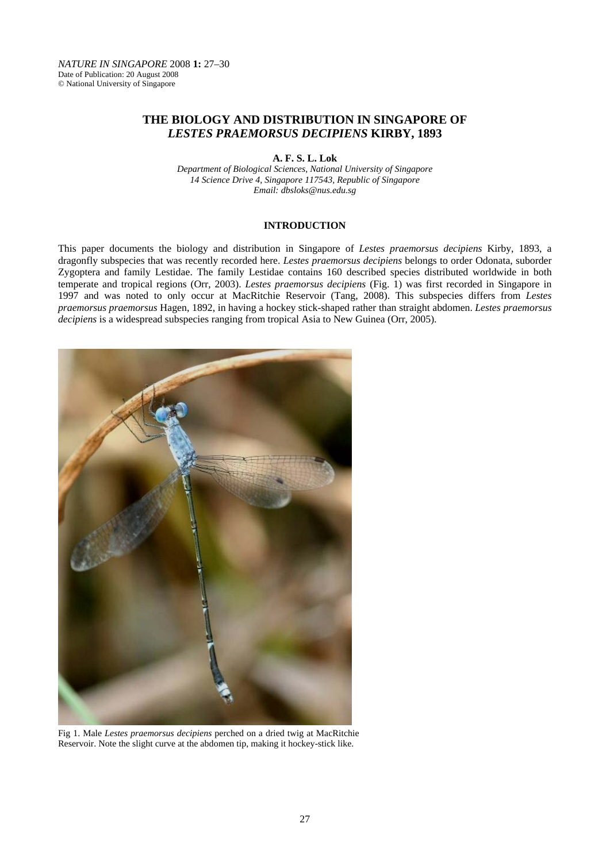# **THE BIOLOGY AND DISTRIBUTION IN SINGAPORE OF**  *LESTES PRAEMORSUS DECIPIENS* **KIRBY, 1893**

**A. F. S. L. Lok** 

*Department of Biological Sciences, National University of Singapore 14 Science Drive 4, Singapore 117543, Republic of Singapore Email: dbsloks@nus.edu.sg* 

## **INTRODUCTION**

This paper documents the biology and distribution in Singapore of *Lestes praemorsus decipiens* Kirby, 1893, a dragonfly subspecies that was recently recorded here. *Lestes praemorsus decipiens* belongs to order Odonata, suborder Zygoptera and family Lestidae. The family Lestidae contains 160 described species distributed worldwide in both temperate and tropical regions (Orr, 2003). *Lestes praemorsus decipiens* (Fig. 1) was first recorded in Singapore in 1997 and was noted to only occur at MacRitchie Reservoir (Tang, 2008). This subspecies differs from *Lestes praemorsus praemorsus* Hagen, 1892, in having a hockey stick-shaped rather than straight abdomen. *Lestes praemorsus decipiens* is a widespread subspecies ranging from tropical Asia to New Guinea (Orr, 2005).



Fig 1. Male *Lestes praemorsus decipiens* perched on a dried twig at MacRitchie Reservoir. Note the slight curve at the abdomen tip, making it hockey-stick like.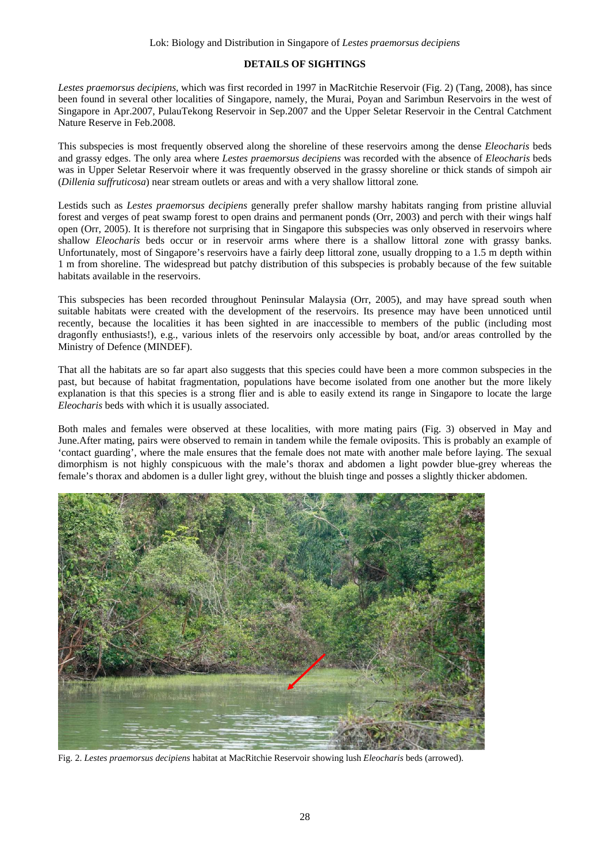## **DETAILS OF SIGHTINGS**

*Lestes praemorsus decipiens*, which was first recorded in 1997 in MacRitchie Reservoir (Fig. 2) (Tang, 2008), has since been found in several other localities of Singapore, namely, the Murai, Poyan and Sarimbun Reservoirs in the west of Singapore in Apr.2007, PulauTekong Reservoir in Sep.2007 and the Upper Seletar Reservoir in the Central Catchment Nature Reserve in Feb.2008.

This subspecies is most frequently observed along the shoreline of these reservoirs among the dense *Eleocharis* beds and grassy edges. The only area where *Lestes praemorsus decipiens* was recorded with the absence of *Eleocharis* beds was in Upper Seletar Reservoir where it was frequently observed in the grassy shoreline or thick stands of simpoh air (*Dillenia suffruticosa*) near stream outlets or areas and with a very shallow littoral zone*.* 

Lestids such as *Lestes praemorsus decipiens* generally prefer shallow marshy habitats ranging from pristine alluvial forest and verges of peat swamp forest to open drains and permanent ponds (Orr, 2003) and perch with their wings half open (Orr, 2005). It is therefore not surprising that in Singapore this subspecies was only observed in reservoirs where shallow *Eleocharis* beds occur or in reservoir arms where there is a shallow littoral zone with grassy banks. Unfortunately, most of Singapore's reservoirs have a fairly deep littoral zone, usually dropping to a 1.5 m depth within 1 m from shoreline. The widespread but patchy distribution of this subspecies is probably because of the few suitable habitats available in the reservoirs.

This subspecies has been recorded throughout Peninsular Malaysia (Orr, 2005), and may have spread south when suitable habitats were created with the development of the reservoirs. Its presence may have been unnoticed until recently, because the localities it has been sighted in are inaccessible to members of the public (including most dragonfly enthusiasts!), e.g., various inlets of the reservoirs only accessible by boat, and/or areas controlled by the Ministry of Defence (MINDEF).

That all the habitats are so far apart also suggests that this species could have been a more common subspecies in the past, but because of habitat fragmentation, populations have become isolated from one another but the more likely explanation is that this species is a strong flier and is able to easily extend its range in Singapore to locate the large *Eleocharis* beds with which it is usually associated.

Both males and females were observed at these localities, with more mating pairs (Fig. 3) observed in May and June.After mating, pairs were observed to remain in tandem while the female oviposits. This is probably an example of 'contact guarding', where the male ensures that the female does not mate with another male before laying. The sexual dimorphism is not highly conspicuous with the male's thorax and abdomen a light powder blue-grey whereas the female's thorax and abdomen is a duller light grey, without the bluish tinge and posses a slightly thicker abdomen.



Fig. 2. *Lestes praemorsus decipiens* habitat at MacRitchie Reservoir showing lush *Eleocharis* beds (arrowed).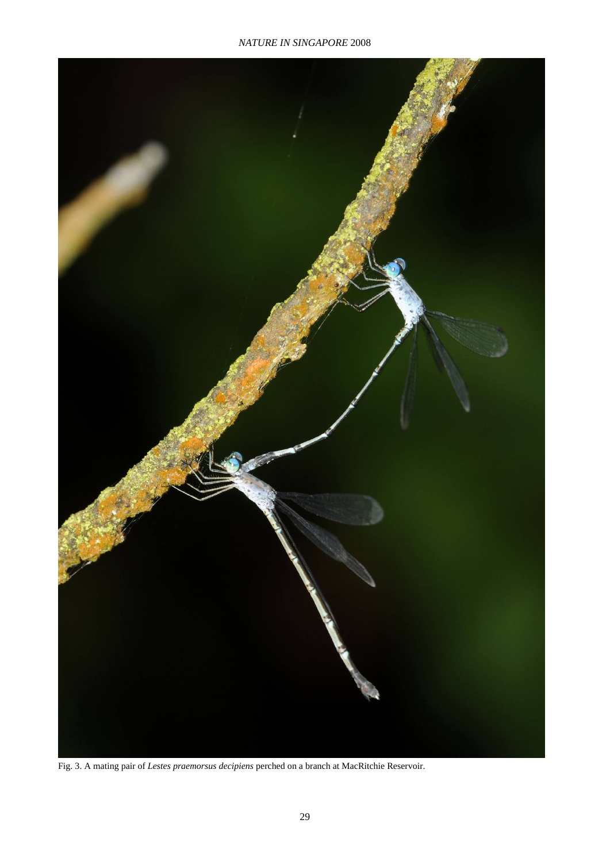

Fig. 3. A mating pair of *Lestes praemorsus decipiens* perched on a branch at MacRitchie Reservoir.